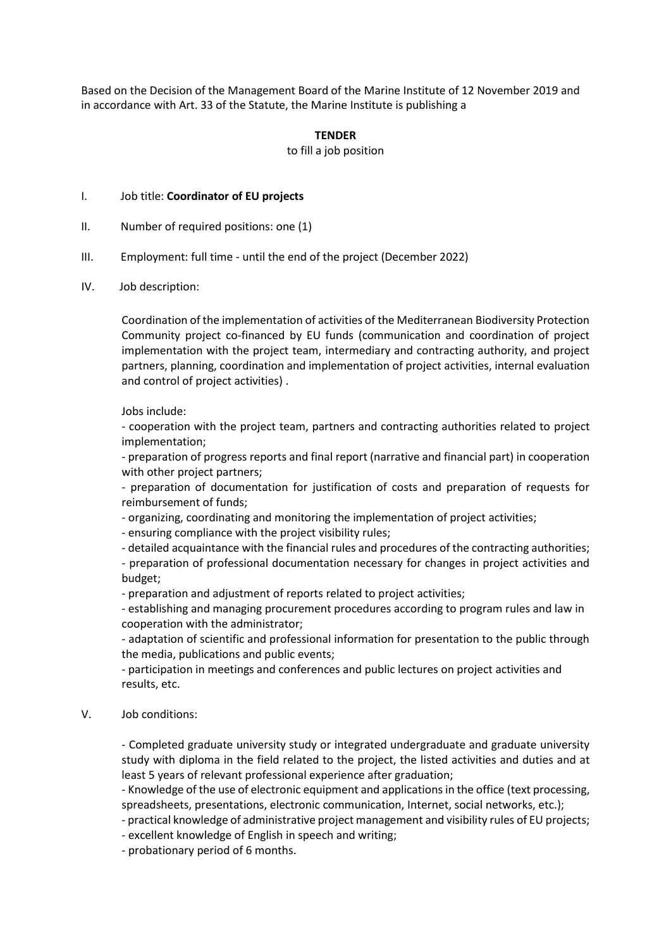Based on the Decision of the Management Board of the Marine Institute of 12 November 2019 and in accordance with Art. 33 of the Statute, the Marine Institute is publishing a

## **TENDER**

## to fill a job position

## I. Job title: **Coordinator of EU projects**

- II. Number of required positions: one (1)
- III. Employment: full time until the end of the project (December 2022)
- IV. Job description:

Coordination of the implementation of activities of the Mediterranean Biodiversity Protection Community project co-financed by EU funds (communication and coordination of project implementation with the project team, intermediary and contracting authority, and project partners, planning, coordination and implementation of project activities, internal evaluation and control of project activities) .

Jobs include:

- cooperation with the project team, partners and contracting authorities related to project implementation;

- preparation of progress reports and final report (narrative and financial part) in cooperation with other project partners;

- preparation of documentation for justification of costs and preparation of requests for reimbursement of funds;

- organizing, coordinating and monitoring the implementation of project activities;

- ensuring compliance with the project visibility rules;

- detailed acquaintance with the financial rules and procedures of the contracting authorities;

- preparation of professional documentation necessary for changes in project activities and budget;

- preparation and adjustment of reports related to project activities;

- establishing and managing procurement procedures according to program rules and law in cooperation with the administrator;

- adaptation of scientific and professional information for presentation to the public through the media, publications and public events;

- participation in meetings and conferences and public lectures on project activities and results, etc.

V. Job conditions:

- Completed graduate university study or integrated undergraduate and graduate university study with diploma in the field related to the project, the listed activities and duties and at least 5 years of relevant professional experience after graduation;

- Knowledge of the use of electronic equipment and applications in the office (text processing, spreadsheets, presentations, electronic communication, Internet, social networks, etc.);

- practical knowledge of administrative project management and visibility rules of EU projects;

- excellent knowledge of English in speech and writing;

- probationary period of 6 months.